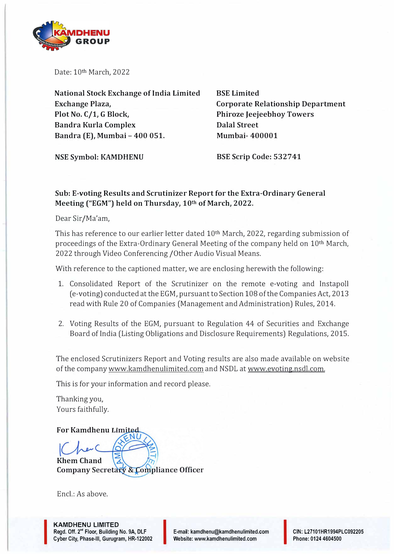

Date: 10th March, 2022

**National Stock Exchange of India Limited Exchange Plaza, Plot No. C/1, G Block, Bandra Kurla Complex Bandra (E), Mumbai - 400 051.** 

**BSE Limited Corporate Relationship Department Phiroze Jeejeebhoy Towers Dalal Street Mumbai- 400001** 

**NSE Symbol: KAMDHENU** 

**BSE Scrip Code: 532741** 

### **Sub: E-voting Results and Scrutinizer Report for the Extra-Ordinary General Meeting ("EGM") held on Thursday, 10th of March, 2022.**

Dear Sir/Ma'am,

This has reference to our earlier letter dated 10<sup>th</sup> March, 2022, regarding submission of proceedings of the Extra-Ordinary General Meeting of the company held on 10th March, 2022 through Video Conferencing /Other Audio Visual Means.

With reference to the captioned matter, we are enclosing herewith the following:

- 1. Consolidated Report of the Scrutinizer on the remote e-voting and Instapoll ( e-voting) conducted at the EGM, pursuant to Section 108 of the Companies Act, 2013 read with Rule 20 of Companies (Management and Administration) Rules, 2014.
- 2. Voting Results of the EGM, pursuant to Regulation 44 of Securities and Exchange Board of India (Listing Obligations and Disclosure Requirements) Regulations, 2015.

The enclosed Scrutinizers Report and Voting results are also made available on website of the company www.kamdhenulimited.com and NSDL at www.evoting.nsdl.com.

This is for your information and record please.

Thanking you, Yours faithfully.

**For Kamdhenu Khem Chand**  Company Secretary & Compliance Officer

 $End : As above.$ 

I

**E-mail: kamdhenu@kamdhenulimited.com E-mail: kamdhenu@kamdhenulimited.com**<br>Website: www.kamdhenulimited.com

**CIN: L27101HR1994PLC092205 Phone: 0124 4604500**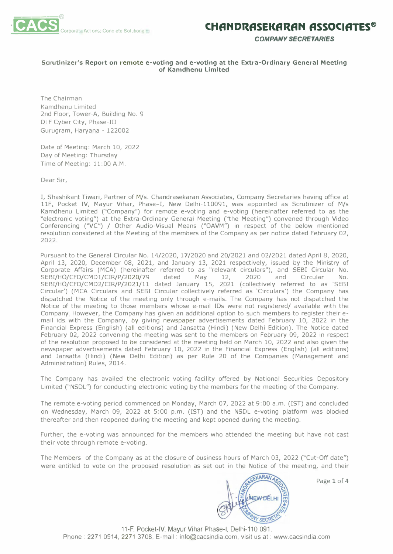

*COMPANY SECRETARIES* 

#### **Scrutinizer's Report on remote e-voting and e-voting at the Extra-Ordinary General Meeting of Kamdhenu Limited**

The Chairman Kamdhenu Limited 2nd Floor, Tower-A, Building No. 9 DLF Cyber City, Phase-III Gurugram, Haryana - 122002

Date of Meeting: March 10, 2022 Day of Meeting: Thursday Time of Meeting: 11:00 A.M.

Dear Sir,

I, Shashikant Tiwari, Partner of M/s. Chandrasekaran Associates, Company Secretaries having office at llF, Pocket IV, Mayur Vihar, Phase-I, New Delhi-110091, was appointed as Scrutinizer of M/s Kamdhenu Limited ("Company") for remote e-voting and e-voting (hereinafter referred to as the "electronic voting") at the Extra-Ordinary General Meeting ("the Meeting") convened through Video Conferencing ("VC") / Other Audio-Visual Means ("OAVM") in respect of the below mentioned resolution considered at the Meeting of the members of the Company as per notice dated February 02, 2022.

Pursuant to the General Circular No. 14/2020, 17/2020 and 20/2021 and 02/2021 dated April 8, 2020, April 13, 2020, December 08, 2021, and January 13, 2021 respectively, issued by the Ministry of Corporate Affairs (MCA) (hereinafter referred to as "relevant circulars"), and SEBI Circular No. SEBI/HO/CFD/CMDl/CIR/P/2020/79 dated May 12, 2020 and Circular No. SEBI/HO/CFD/CMD2/CIR/P/2021/ll dated January 15, 2021 (collectively referred to as 'SEBI Circular') (MCA Circulars and SEBI Circular collectively referred as 'Circulars') the Company has dispatched the Notice of the meeting only through e-mails. The Company has not dispatched the Notice of the meeting to those members whose e-mail IDs were not registered/ available with the Company However, the Company has given an additional option to such members to register their email ids with the Company, by giving newspaper advertisements dated February 10, 2022 in the Financial Express (English) (all editions) and Jansatta (Hindi) (New Delhi Edition). The Notice dated February 02, 2022 convening the meeting was sent to the members on February 09, 2022 in respect of the resolution proposed to be considered at the meeting held on March 10, 2022 and also given the newspaper advertisements dated February 10, 2022 in the Financial Express (English) (all editions) and Jansatta (Hindi) (New Delhi Edition) as per Rule 20 of the Companies (Management and Administration) Rules, 2014.

The Company has availed the electronic voting facility offered by National Securities Depository Limited ("NSDL") for conducting electronic voting by the members for the meeting of the Company.

The remote e-voting period commenced on Monday, March 07, 2022 at 9:00 a.m. (IST) and concluded on Wednesday, March 09, 2022 at 5:00 p.m. (IST) and the NSDL e-voting platform was blocked thereafter and then reopened during the meeting and kept opened during the meeting.

Further, the e-voting was announced for the members who attended the meeting but have not cast their vote through remote e-voting.

The Members of the Company as at the closure of business hours of March 03, 2022 ("Cut-Off date") were entitled to vote on the proposed resolution as set out in the Notice of the meeting, and their



Page 1 of 4

11-F, Pocket-IV, Mayur Vihar Phase-I, Delhi-110 091. Phone : 2271 0514, 2271 3708, E-mail : info@cacsindia.com, visit us at: www.cacsindia.com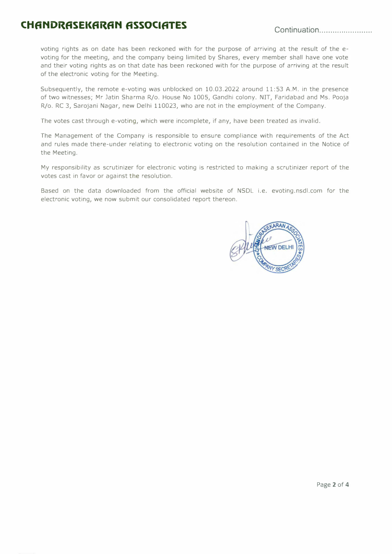# **CHfiNDRfiSEKfiRfiN ASSOCIATES Continuation ....................... .**

voting rights as on date has been reckoned with for the purpose of arriving at the result of the evoting for the meeting, and the company being limited by Shares, every member shall have one vote and their voting rights as on that date has been reckoned with for the purpose of arriving at the result of the electronic voting for the Meeting.

Subsequently, the remote e-voting was unblocked on 10.03.2022 around 11:53 A.M. in the presence of two witnesses; Mr Jatin Sharma R/o. House No 1005, Gandhi colony. NIT, Faridabad and Ms. Pooja R/o. RC 3, Sarojani Nagar, new Delhi 110023, who are not in the employment of the Company.

The votes cast through e-voting, which were incomplete, if any, have been treated as invalid.

The Management of the Company is responsible to ensure compliance with requirements of the Act and rules made there-under relating to electronic voting on the resolution contained in the Notice of the Meeting.

My responsibility as scrutinizer for electronic voting is restricted to making a scrutinizer report of the votes cast in favor or against the resolution.

Based on the data downloaded from the official website of NSDL i.e. evoting.nsdl.com for the electronic voting, we now submit our consolidated report thereon.

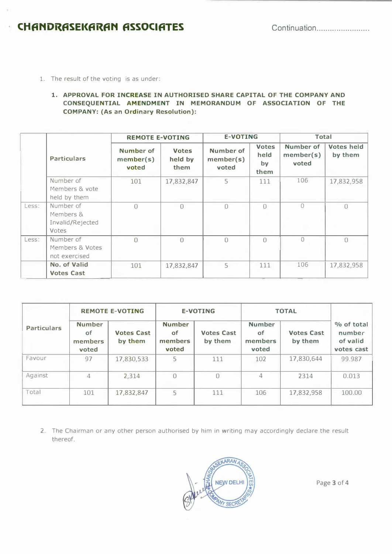## **· CHfiNDRfiSEl<fiRfiN fiSSOClfiTES** Continuation ....................... .

1. The result of the voting is as under:

#### **1. APPROVAL FOR INCREASE IN AUTHORISED SHARE CAPITAL OF THE COMPANY AND CONSEQUENTIAL AMENDMENT IN MEMORANDUM OF ASSOCIATION OF THE COMPANY: (As an Ordinary Resolution):**

|       |                                                     | <b>REMOTE E-VOTING</b>          |                                 | <b>E-VOTING</b>                 |                                    | <b>Total</b>                    |                              |
|-------|-----------------------------------------------------|---------------------------------|---------------------------------|---------------------------------|------------------------------------|---------------------------------|------------------------------|
|       | <b>Particulars</b>                                  | Number of<br>member(s)<br>voted | <b>Votes</b><br>held by<br>them | Number of<br>member(s)<br>voted | <b>Votes</b><br>held<br>by<br>them | Number of<br>member(s)<br>voted | <b>Votes held</b><br>by them |
|       | Number of<br>Members & vote<br>held by them         | 101                             | 17,832,847                      | 5                               | 111                                | 106                             | 17,832,958                   |
| Less: | Number of<br>Members &<br>Invalid/Rejected<br>Votes | $\Omega$                        | $\bigcap$                       | $\Omega$                        | $\bigcap$                          | $\bigcap$                       | $\bigcap$                    |
| Less: | Number of<br>Members & Votes<br>not exercised       | $\bigcap$                       | $\bigcap$                       | $\bigcap$                       | $\bigcap$                          | $\mathbf{0}$                    | $\bigcap$                    |
|       | No. of Valid<br><b>Votes Cast</b>                   | 101                             | 17,832,847                      | 5                               | 111                                | 106                             | 17,832,958                   |

|                    | <b>REMOTE E-VOTING</b>                         |                              | <b>E-VOTING</b>                                |                              | <b>TOTAL</b>                            |                              |                                                |
|--------------------|------------------------------------------------|------------------------------|------------------------------------------------|------------------------------|-----------------------------------------|------------------------------|------------------------------------------------|
| <b>Particulars</b> | <b>Number</b><br><b>of</b><br>members<br>voted | <b>Votes Cast</b><br>by them | <b>Number</b><br><b>of</b><br>members<br>voted | <b>Votes Cast</b><br>by them | <b>Number</b><br>of<br>members<br>voted | <b>Votes Cast</b><br>by them | % of total<br>number<br>of valid<br>votes cast |
| Favour             | 97                                             | 17,830,533                   | 5                                              | 111                          | 102                                     | 17,830,644                   | 99.987                                         |
| Against            | 4                                              | 2,314                        | $\bigcap$                                      | $\bigcap$                    | 4                                       | 2314                         | 0.013                                          |
| Total              | 101                                            | 17,832,847                   | 5                                              | 111                          | 106                                     | 17,832,958                   | 100.00                                         |

2. The Chairman or any other person authorised by him in writing may accordingly declare the result thereof.



Page 3 of 4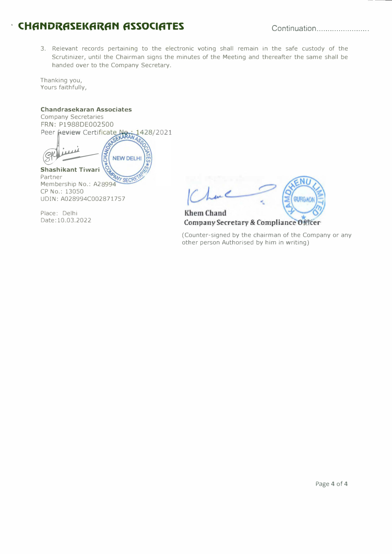## **· CHfiNDRfiSEKfiRfiN fiSSOClfiTES** Continuation ....................... .

3. Relevant records pertaining to the electronic voting shall remain in the safe custody of the Scrutinizer, until the Chairman signs the minutes of the Meeting and thereafter the same shall be handed over to the Company Secretary.

Thanking you, Yours faithfully,

#### **Chandrasekaran Associates**

Company Secretaries FRN: Pl 988DE002500 Peer **Peview** Certificate Next 1 1428/2021

<u>mii</u> **NEW DELHI Shashikant Tiwari**  Partner WY SECRE Membership No.: A28994 CP No.: 13050 UDIN: A028994C002871757

Place: Delhi<br>Date:10.03.2022

EN<sub>I</sub> GURGAON **Khem Chand** 

### Company Secretary & Compliance Officer

(Counter-signed by the chairman of the Company or any other person Authorised by him in writing)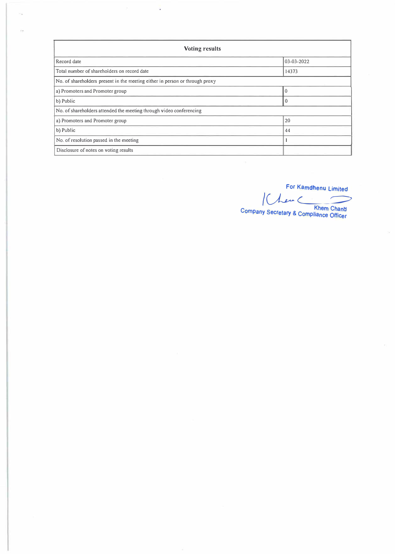| <b>Voting results</b>                                                        |            |  |  |  |  |  |
|------------------------------------------------------------------------------|------------|--|--|--|--|--|
| Record date                                                                  | 03-03-2022 |  |  |  |  |  |
| Total number of shareholders on record date                                  | 14373      |  |  |  |  |  |
| No. of shareholders present in the meeting either in person or through proxy |            |  |  |  |  |  |
| a) Promoters and Promoter group                                              | $\Omega$   |  |  |  |  |  |
| b) Public                                                                    | $\Omega$   |  |  |  |  |  |
| No. of shareholders attended the meeting through video conferencing          |            |  |  |  |  |  |
| a) Promoters and Promoter group                                              | 20         |  |  |  |  |  |
| b) Public                                                                    | 44         |  |  |  |  |  |
| No. of resolution passed in the meeting                                      |            |  |  |  |  |  |
| Disclosure of notes on voting results                                        |            |  |  |  |  |  |

Ġ

For Kamdhenu Limited For Kamdhenu Limited<br>
Company Secretary & Compliance Officer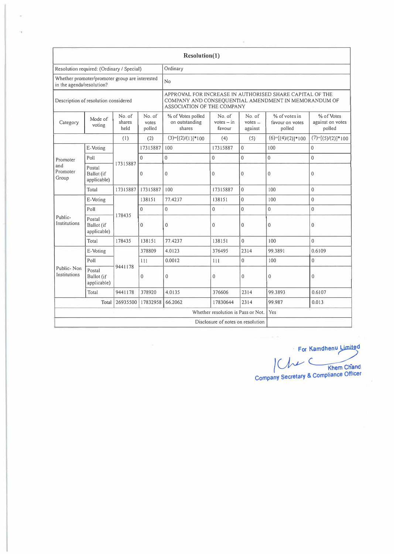| Resolution(1)                                                               |                                           |                          |                                                                                                                                                |                                               |                                  |                                |                                            |                                          |
|-----------------------------------------------------------------------------|-------------------------------------------|--------------------------|------------------------------------------------------------------------------------------------------------------------------------------------|-----------------------------------------------|----------------------------------|--------------------------------|--------------------------------------------|------------------------------------------|
| Resolution required: (Ordinary / Special)                                   |                                           |                          | Ordinary                                                                                                                                       |                                               |                                  |                                |                                            |                                          |
| Whether promoter/promoter group are interested<br>in the agenda/resolution? |                                           |                          | No                                                                                                                                             |                                               |                                  |                                |                                            |                                          |
| Description of resolution considered                                        |                                           |                          | APPROVAL FOR INCREASE IN AUTHORISED SHARE CAPITAL OF THE<br>COMPANY AND CONSEQUENTIAL AMENDMENT IN MEMORANDUM OF<br>ASSOCIATION OF THE COMPANY |                                               |                                  |                                |                                            |                                          |
| Category                                                                    | Mode of<br>voting                         | No. of<br>shares<br>held | No. of<br>votes<br>polled                                                                                                                      | % of Votes polled<br>on outstanding<br>shares | No. of<br>$votes - in$<br>favour | No. of<br>$votes -$<br>against | % of votes in<br>favour on votes<br>polled | % of Votes<br>against on votes<br>polled |
|                                                                             |                                           | (1)                      | (2)                                                                                                                                            | $(3)=[(2)/(1)]*100$                           | (4)                              | (5)                            | $(6)=[(4)/(2)]*100$                        | $(7)=[(5)/(2)]*100$                      |
|                                                                             | E-Voting                                  |                          | 17315887                                                                                                                                       | 100                                           | 17315887                         | $\mathbf{0}$                   | 100                                        | $\mathbf 0$                              |
| Promoter                                                                    | Poll                                      |                          | $\Omega$                                                                                                                                       | $\overline{0}$                                | $\mathbf{0}$                     | $\mathbf{0}$                   | $\overline{0}$                             | $\mathbf{0}$                             |
| and<br>Promoter<br>Group                                                    | Postal<br>Ballot (if<br>applicable)       | 17315887                 | 0                                                                                                                                              | $\mathbf 0$                                   | $\mathbf{0}$                     | $\mathbf{0}$                   | $\mathbf{0}$                               | $\mathbf{0}$                             |
|                                                                             | Total                                     | 17315887                 | 17315887                                                                                                                                       | 100                                           | 17315887                         | $\mathbf{0}$                   | 100                                        | $\mathbf{0}$                             |
|                                                                             | E-Voting                                  | 178435                   | 138151                                                                                                                                         | 77.4237                                       | 138151                           | $\mathbf{0}$                   | 100                                        | $\mathbf{0}$                             |
|                                                                             | Poll                                      |                          | $\mathbf{0}$                                                                                                                                   | $\mathbf{0}$                                  | $\overline{0}$                   | $\mathbf{0}$                   | $\mathbf 0$                                | $\mathbf{0}$                             |
| Public-<br>Institutions                                                     | Postal<br>Ballot (if<br>applicable)       |                          | $\mathbf 0$                                                                                                                                    | $\mathbf{0}$                                  | 0                                | $\mathbf{0}$                   | $\mathbf{0}$                               | $\mathbf{0}$                             |
|                                                                             | Total                                     | 178435                   | 138151                                                                                                                                         | 77.4237                                       | 138151                           | $\mathbf{0}$                   | 100                                        | $\overline{0}$                           |
|                                                                             | E-Voting                                  |                          | 378809                                                                                                                                         | 4.0123                                        | 376495                           | 2314                           | 99.3891                                    | 0.6109                                   |
| Public-Non<br>Institutions                                                  | Poll                                      | 9441178                  | 111                                                                                                                                            | 0.0012                                        | 111                              | $\mathbf 0$                    | 100                                        | $\overline{0}$                           |
|                                                                             | Postal<br>Ballot (if<br>applicable)       |                          | $\mathbf{0}$                                                                                                                                   | $\mathbf 0$                                   | $\overline{0}$                   | $\mathbf{0}$                   | $\mathbf{0}$                               | 0                                        |
|                                                                             | Total                                     | 9441178                  | 378920                                                                                                                                         | 4.0135                                        | 376606                           | 2314                           | 99.3893                                    | 0.6107                                   |
|                                                                             | Total                                     | 26935500                 | 17832958                                                                                                                                       | 66.2062                                       | 17830644                         | 2314                           | 99.987                                     | 0.013                                    |
|                                                                             | Yes<br>Whether resolution is Pass or Not. |                          |                                                                                                                                                |                                               |                                  |                                |                                            |                                          |
| Disclosure of notes on resolution                                           |                                           |                          |                                                                                                                                                |                                               |                                  |                                |                                            |                                          |

**· For Kamdhenu�<sup>d</sup>** Khem Chand

**Company Secretary & Compliance Officer**